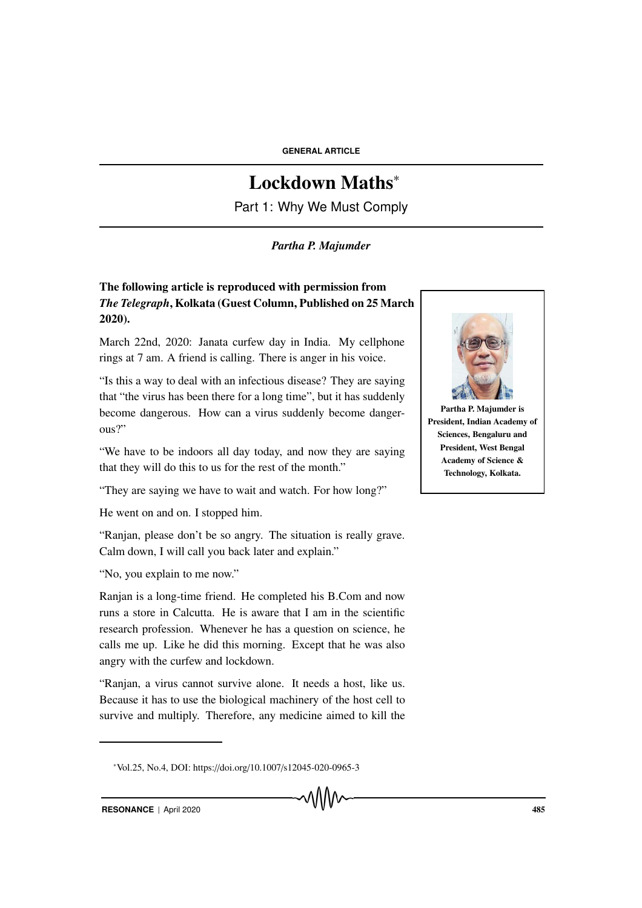# Lockdown Maths<sup>∗</sup>

Part 1: Why We Must Comply

### *Partha P. Majumder*

## The following article is reproduced with permission from *The Telegraph*, Kolkata (Guest Column, Published on 25 March 2020).

March 22nd, 2020: Janata curfew day in India. My cellphone rings at 7 am. A friend is calling. There is anger in his voice.

"Is this a way to deal with an infectious disease? They are saying that "the virus has been there for a long time", but it has suddenly become dangerous. How can a virus suddenly become dangerous?"

"We have to be indoors all day today, and now they are saying that they will do this to us for the rest of the month."

"They are saying we have to wait and watch. For how long?"

He went on and on. I stopped him.

"Ranjan, please don't be so angry. The situation is really grave. Calm down, I will call you back later and explain."

"No, you explain to me now."

Ranjan is a long-time friend. He completed his B.Com and now runs a store in Calcutta. He is aware that I am in the scientific research profession. Whenever he has a question on science, he calls me up. Like he did this morning. Except that he was also angry with the curfew and lockdown.

"Ranjan, a virus cannot survive alone. It needs a host, like us. Because it has to use the biological machinery of the host cell to survive and multiply. Therefore, any medicine aimed to kill the

᠕᠕᠕᠕



Partha P. Majumder is President, Indian Academy of Sciences, Bengaluru and President, West Bengal Academy of Science & Technology, Kolkata.

<sup>∗</sup>Vol.25, No.4, DOI: https://doi.org/10.1007/s12045-020-0965-3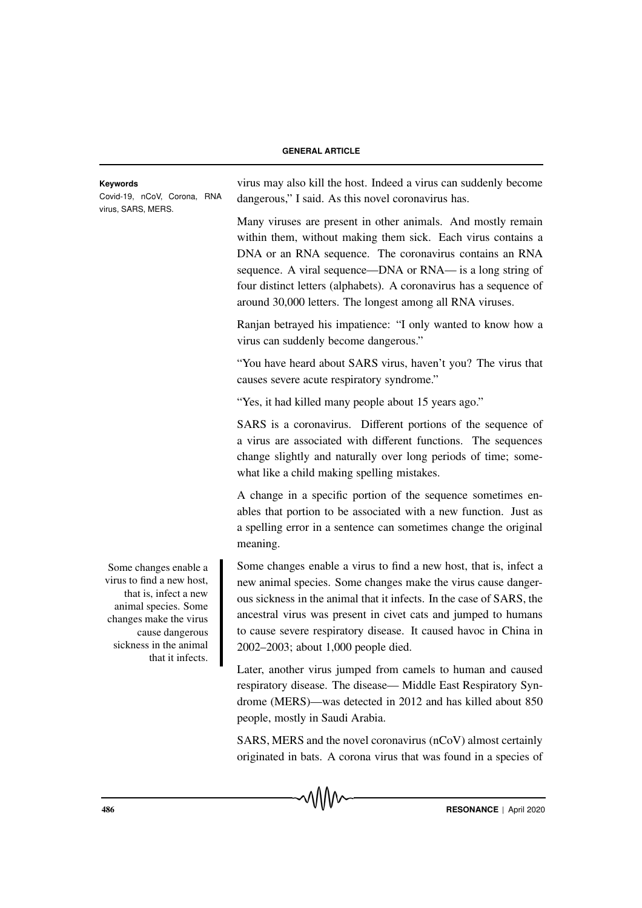Covid-19, nCoV, Corona, RNA virus, SARS, MERS.

**Keywords** virus may also kill the host. Indeed a virus can suddenly become dangerous," I said. As this novel coronavirus has.

> Many viruses are present in other animals. And mostly remain within them, without making them sick. Each virus contains a DNA or an RNA sequence. The coronavirus contains an RNA sequence. A viral sequence—DNA or RNA— is a long string of four distinct letters (alphabets). A coronavirus has a sequence of around 30,000 letters. The longest among all RNA viruses.

> Ranjan betrayed his impatience: "I only wanted to know how a virus can suddenly become dangerous."

> "You have heard about SARS virus, haven't you? The virus that causes severe acute respiratory syndrome."

"Yes, it had killed many people about 15 years ago."

SARS is a coronavirus. Different portions of the sequence of a virus are associated with different functions. The sequences change slightly and naturally over long periods of time; somewhat like a child making spelling mistakes.

A change in a specific portion of the sequence sometimes enables that portion to be associated with a new function. Just as a spelling error in a sentence can sometimes change the original meaning.

Some changes enable a virus to find a new host, that is, infect a new animal species. Some changes make the virus cause dangerous sickness in the animal that it infects. In the case of SARS, the ancestral virus was present in civet cats and jumped to humans to cause severe respiratory disease. It caused havoc in China in 2002–2003; about 1,000 people died.

Later, another virus jumped from camels to human and caused respiratory disease. The disease— Middle East Respiratory Syndrome (MERS)—was detected in 2012 and has killed about 850 people, mostly in Saudi Arabia.

SARS, MERS and the novel coronavirus (nCoV) almost certainly originated in bats. A corona virus that was found in a species of

Some changes enable a virus to find a new host, that is, infect a new animal species. Some changes make the virus cause dangerous sickness in the animal that it infects.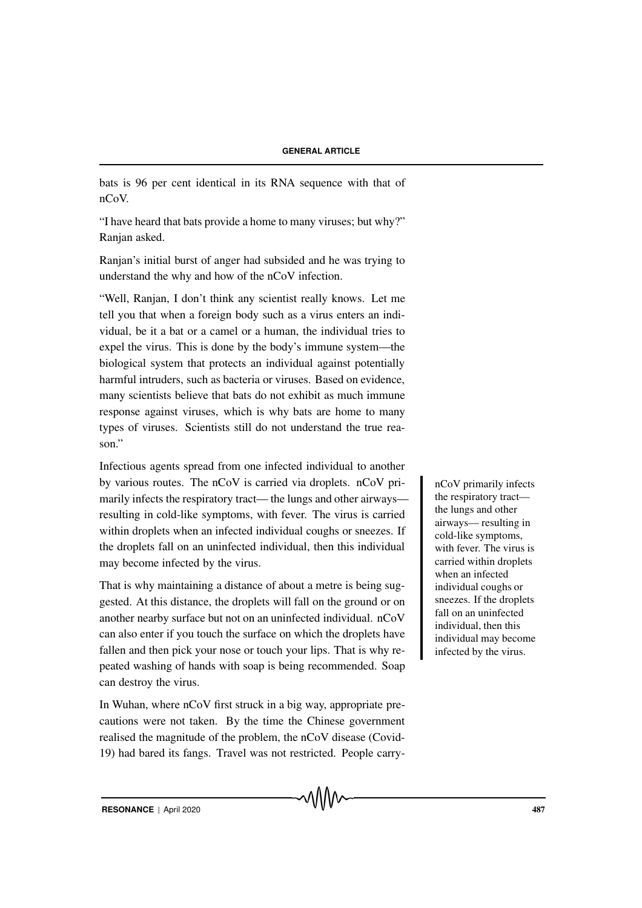bats is 96 per cent identical in its RNA sequence with that of nCoV.

"I have heard that bats provide a home to many viruses; but why?" Ranjan asked.

Ranjan's initial burst of anger had subsided and he was trying to understand the why and how of the nCoV infection.

"Well, Ranjan, I don't think any scientist really knows. Let me tell you that when a foreign body such as a virus enters an individual, be it a bat or a camel or a human, the individual tries to expel the virus. This is done by the body's immune system—the biological system that protects an individual against potentially harmful intruders, such as bacteria or viruses. Based on evidence, many scientists believe that bats do not exhibit as much immune response against viruses, which is why bats are home to many types of viruses. Scientists still do not understand the true reason."

Infectious agents spread from one infected individual to another by various routes. The  $nCoV$  is carried via droplets.  $nCoV$  pri-<br> $nCoV$  primarily infects marily infects the respiratory tract— the lungs and other airways resulting in cold-like symptoms, with fever. The virus is carried within droplets when an infected individual coughs or sneezes. If the droplets fall on an uninfected individual, then this individual may become infected by the virus.

That is why maintaining a distance of about a metre is being suggested. At this distance, the droplets will fall on the ground or on another nearby surface but not on an uninfected individual. nCoV can also enter if you touch the surface on which the droplets have fallen and then pick your nose or touch your lips. That is why repeated washing of hands with soap is being recommended. Soap can destroy the virus.

In Wuhan, where nCoV first struck in a big way, appropriate precautions were not taken. By the time the Chinese government realised the magnitude of the problem, the nCoV disease (Covid-19) had bared its fangs. Travel was not restricted. People carrythe respiratory tract the lungs and other airways— resulting in cold-like symptoms, with fever. The virus is carried within droplets when an infected individual coughs or sneezes. If the droplets fall on an uninfected individual, then this individual may become infected by the virus.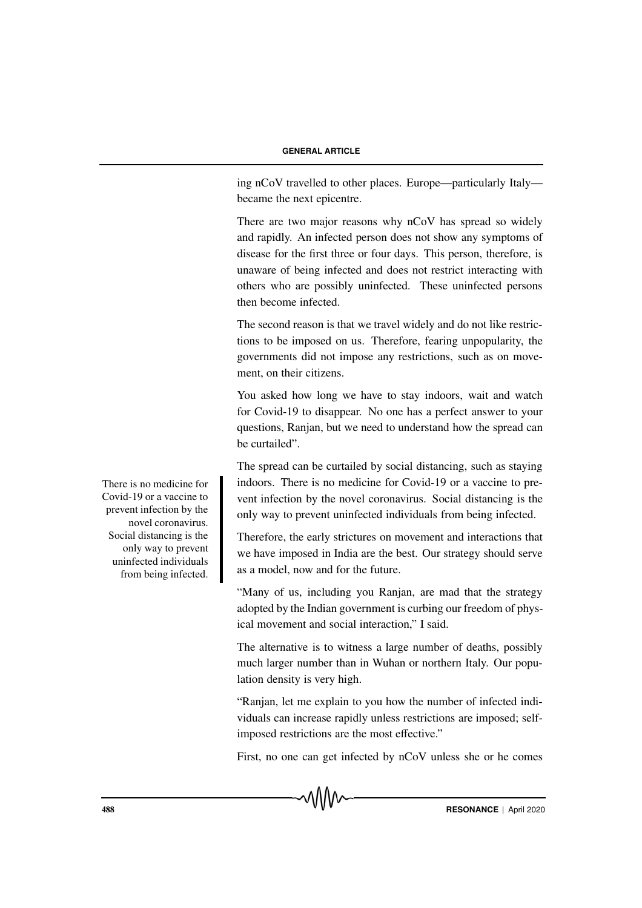ing nCoV travelled to other places. Europe—particularly Italy became the next epicentre.

There are two major reasons why nCoV has spread so widely and rapidly. An infected person does not show any symptoms of disease for the first three or four days. This person, therefore, is unaware of being infected and does not restrict interacting with others who are possibly uninfected. These uninfected persons then become infected.

The second reason is that we travel widely and do not like restrictions to be imposed on us. Therefore, fearing unpopularity, the governments did not impose any restrictions, such as on movement, on their citizens.

You asked how long we have to stay indoors, wait and watch for Covid-19 to disappear. No one has a perfect answer to your questions, Ranjan, but we need to understand how the spread can be curtailed".

The spread can be curtailed by social distancing, such as staying indoors. There is no medicine for Covid-19 or a vaccine to prevent infection by the novel coronavirus. Social distancing is the only way to prevent uninfected individuals from being infected.

Therefore, the early strictures on movement and interactions that we have imposed in India are the best. Our strategy should serve as a model, now and for the future.

"Many of us, including you Ranjan, are mad that the strategy adopted by the Indian government is curbing our freedom of physical movement and social interaction," I said.

The alternative is to witness a large number of deaths, possibly much larger number than in Wuhan or northern Italy. Our population density is very high.

"Ranjan, let me explain to you how the number of infected individuals can increase rapidly unless restrictions are imposed; selfimposed restrictions are the most effective."

First, no one can get infected by nCoV unless she or he comes

There is no medicine for Covid-19 or a vaccine to prevent infection by the novel coronavirus. Social distancing is the only way to prevent uninfected individuals from being infected.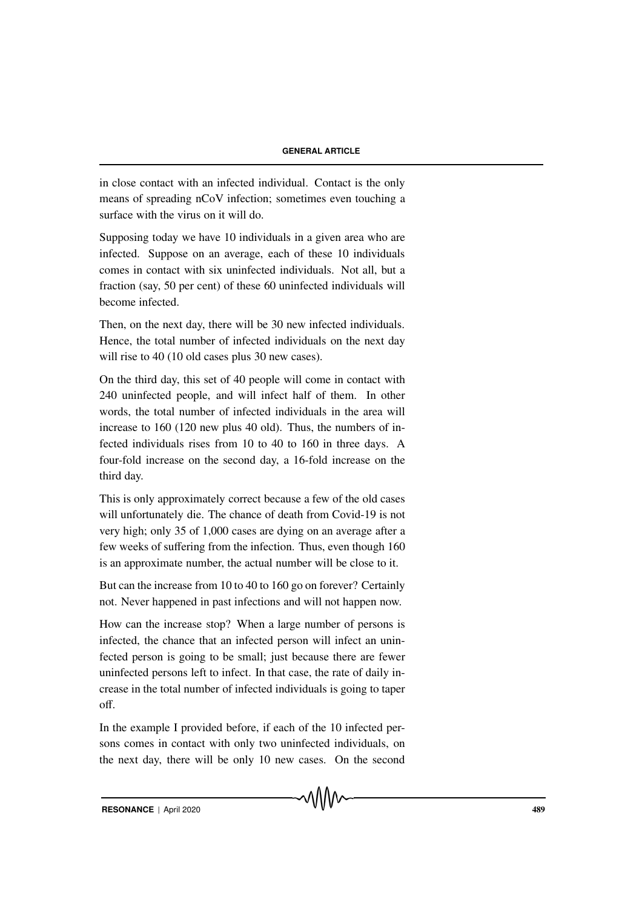in close contact with an infected individual. Contact is the only means of spreading nCoV infection; sometimes even touching a surface with the virus on it will do.

Supposing today we have 10 individuals in a given area who are infected. Suppose on an average, each of these 10 individuals comes in contact with six uninfected individuals. Not all, but a fraction (say, 50 per cent) of these 60 uninfected individuals will become infected.

Then, on the next day, there will be 30 new infected individuals. Hence, the total number of infected individuals on the next day will rise to 40 (10 old cases plus 30 new cases).

On the third day, this set of 40 people will come in contact with 240 uninfected people, and will infect half of them. In other words, the total number of infected individuals in the area will increase to 160 (120 new plus 40 old). Thus, the numbers of infected individuals rises from 10 to 40 to 160 in three days. A four-fold increase on the second day, a 16-fold increase on the third day.

This is only approximately correct because a few of the old cases will unfortunately die. The chance of death from Covid-19 is not very high; only 35 of 1,000 cases are dying on an average after a few weeks of suffering from the infection. Thus, even though 160 is an approximate number, the actual number will be close to it.

But can the increase from 10 to 40 to 160 go on forever? Certainly not. Never happened in past infections and will not happen now.

How can the increase stop? When a large number of persons is infected, the chance that an infected person will infect an uninfected person is going to be small; just because there are fewer uninfected persons left to infect. In that case, the rate of daily increase in the total number of infected individuals is going to taper off.

In the example I provided before, if each of the 10 infected persons comes in contact with only two uninfected individuals, on the next day, there will be only 10 new cases. On the second